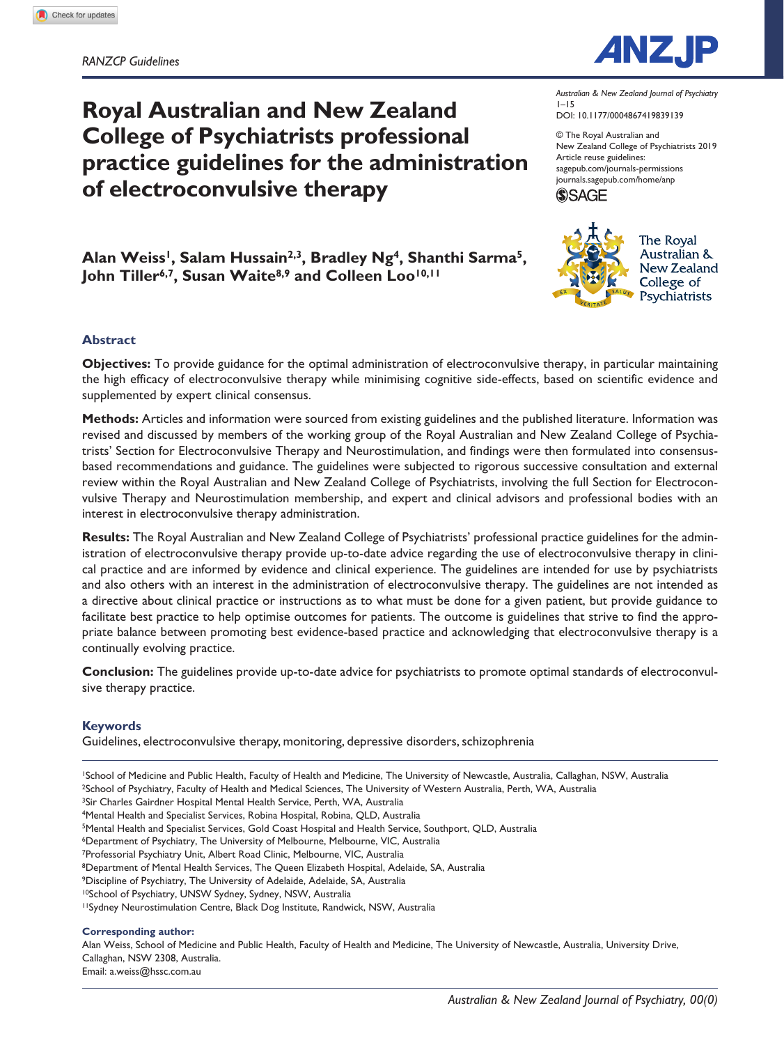

# **Royal Australian and New Zealand College of Psychiatrists professional practice guidelines for the administration of electroconvulsive therapy**

Alan Weiss<sup>1</sup>, Salam Hussain<sup>2,3</sup>, Bradley Ng<sup>4</sup>, Shanthi Sarma<sup>5</sup>, **John Tiller6,7, Susan Waite8,9 and Colleen Loo10,11**

#### DOI: 10.1177/0004867419839139 *Australian & New Zealand Journal of Psychiatry* 1–15

© The Royal Australian and New Zealand College of Psychiatrists 2019 Article reuse guidelines: [sagepub.com/journals-permissions](https://uk.sagepub.com/en-gb/journals-permissions) [journals.sagepub.com/home/anp](https://journals.sagepub.com/home/anp) **SSAGE** 



#### **Abstract**

**Objectives:** To provide guidance for the optimal administration of electroconvulsive therapy, in particular maintaining the high efficacy of electroconvulsive therapy while minimising cognitive side-effects, based on scientific evidence and supplemented by expert clinical consensus.

**Methods:** Articles and information were sourced from existing guidelines and the published literature. Information was revised and discussed by members of the working group of the Royal Australian and New Zealand College of Psychiatrists' Section for Electroconvulsive Therapy and Neurostimulation, and findings were then formulated into consensusbased recommendations and guidance. The guidelines were subjected to rigorous successive consultation and external review within the Royal Australian and New Zealand College of Psychiatrists, involving the full Section for Electroconvulsive Therapy and Neurostimulation membership, and expert and clinical advisors and professional bodies with an interest in electroconvulsive therapy administration.

**Results:** The Royal Australian and New Zealand College of Psychiatrists' professional practice guidelines for the administration of electroconvulsive therapy provide up-to-date advice regarding the use of electroconvulsive therapy in clinical practice and are informed by evidence and clinical experience. The guidelines are intended for use by psychiatrists and also others with an interest in the administration of electroconvulsive therapy. The guidelines are not intended as a directive about clinical practice or instructions as to what must be done for a given patient, but provide guidance to facilitate best practice to help optimise outcomes for patients. The outcome is guidelines that strive to find the appropriate balance between promoting best evidence-based practice and acknowledging that electroconvulsive therapy is a continually evolving practice.

**Conclusion:** The guidelines provide up-to-date advice for psychiatrists to promote optimal standards of electroconvulsive therapy practice.

#### **Keywords**

Guidelines, electroconvulsive therapy, monitoring, depressive disorders, schizophrenia

1School of Medicine and Public Health, Faculty of Health and Medicine, The University of Newcastle, Australia, Callaghan, NSW, Australia

2School of Psychiatry, Faculty of Health and Medical Sciences, The University of Western Australia, Perth, WA, Australia

<sup>3</sup>Sir Charles Gairdner Hospital Mental Health Service, Perth, WA, Australia

4Mental Health and Specialist Services, Robina Hospital, Robina, QLD, Australia

5Mental Health and Specialist Services, Gold Coast Hospital and Health Service, Southport, QLD, Australia

6Department of Psychiatry, The University of Melbourne, Melbourne, VIC, Australia

7Professorial Psychiatry Unit, Albert Road Clinic, Melbourne, VIC, Australia

8Department of Mental Health Services, The Queen Elizabeth Hospital, Adelaide, SA, Australia

9Discipline of Psychiatry, The University of Adelaide, Adelaide, SA, Australia

10School of Psychiatry, UNSW Sydney, Sydney, NSW, Australia

11Sydney Neurostimulation Centre, Black Dog Institute, Randwick, NSW, Australia

**Corresponding author:**

Alan Weiss, School of Medicine and Public Health, Faculty of Health and Medicine, The University of Newcastle, Australia, University Drive, Callaghan, NSW 2308, Australia.

Email: [a.weiss@hssc.com.au](mailto:a.weiss@hssc.com.au)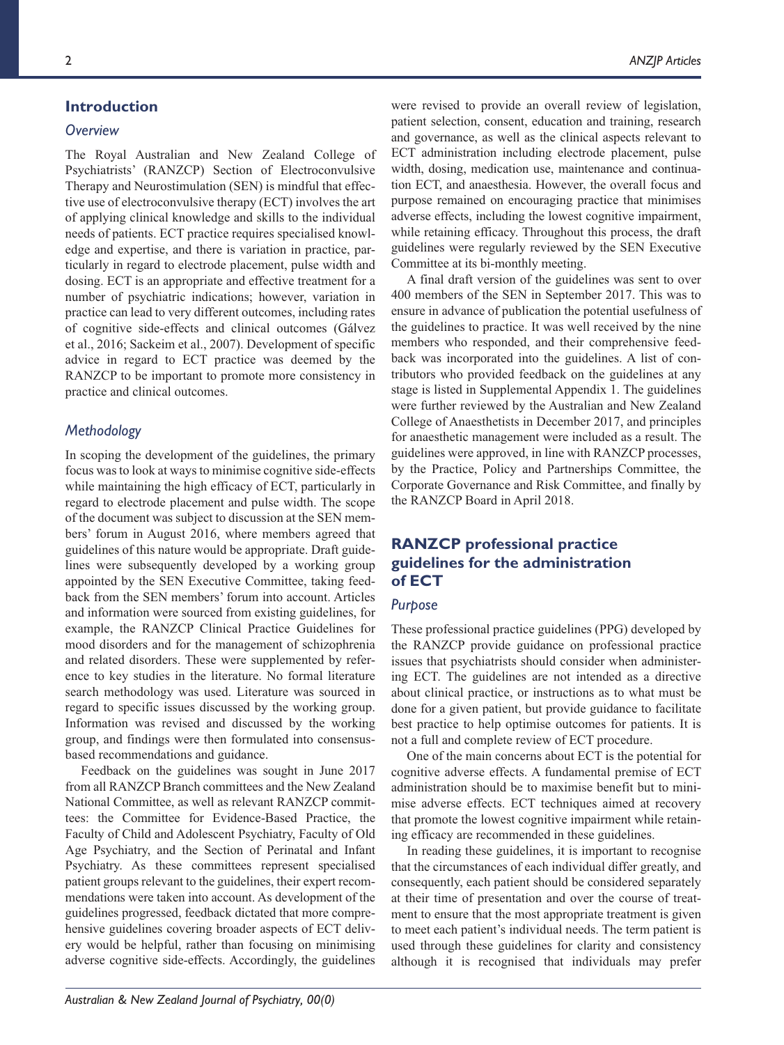## **Introduction**

#### *Overview*

The Royal Australian and New Zealand College of Psychiatrists' (RANZCP) Section of Electroconvulsive Therapy and Neurostimulation (SEN) is mindful that effective use of electroconvulsive therapy (ECT) involves the art of applying clinical knowledge and skills to the individual needs of patients. ECT practice requires specialised knowledge and expertise, and there is variation in practice, particularly in regard to electrode placement, pulse width and dosing. ECT is an appropriate and effective treatment for a number of psychiatric indications; however, variation in practice can lead to very different outcomes, including rates of cognitive side-effects and clinical outcomes (Gálvez et al., 2016; Sackeim et al., 2007). Development of specific advice in regard to ECT practice was deemed by the RANZCP to be important to promote more consistency in practice and clinical outcomes.

## *Methodology*

In scoping the development of the guidelines, the primary focus was to look at ways to minimise cognitive side-effects while maintaining the high efficacy of ECT, particularly in regard to electrode placement and pulse width. The scope of the document was subject to discussion at the SEN members' forum in August 2016, where members agreed that guidelines of this nature would be appropriate. Draft guidelines were subsequently developed by a working group appointed by the SEN Executive Committee, taking feedback from the SEN members' forum into account. Articles and information were sourced from existing guidelines, for example, the RANZCP Clinical Practice Guidelines for mood disorders and for the management of schizophrenia and related disorders. These were supplemented by reference to key studies in the literature. No formal literature search methodology was used. Literature was sourced in regard to specific issues discussed by the working group. Information was revised and discussed by the working group, and findings were then formulated into consensusbased recommendations and guidance.

Feedback on the guidelines was sought in June 2017 from all RANZCP Branch committees and the New Zealand National Committee, as well as relevant RANZCP committees: the Committee for Evidence-Based Practice, the Faculty of Child and Adolescent Psychiatry, Faculty of Old Age Psychiatry, and the Section of Perinatal and Infant Psychiatry. As these committees represent specialised patient groups relevant to the guidelines, their expert recommendations were taken into account. As development of the guidelines progressed, feedback dictated that more comprehensive guidelines covering broader aspects of ECT delivery would be helpful, rather than focusing on minimising adverse cognitive side-effects. Accordingly, the guidelines were revised to provide an overall review of legislation, patient selection, consent, education and training, research and governance, as well as the clinical aspects relevant to ECT administration including electrode placement, pulse width, dosing, medication use, maintenance and continuation ECT, and anaesthesia. However, the overall focus and purpose remained on encouraging practice that minimises adverse effects, including the lowest cognitive impairment, while retaining efficacy. Throughout this process, the draft guidelines were regularly reviewed by the SEN Executive Committee at its bi-monthly meeting.

A final draft version of the guidelines was sent to over 400 members of the SEN in September 2017. This was to ensure in advance of publication the potential usefulness of the guidelines to practice. It was well received by the nine members who responded, and their comprehensive feedback was incorporated into the guidelines. A list of contributors who provided feedback on the guidelines at any stage is listed in Supplemental Appendix 1. The guidelines were further reviewed by the Australian and New Zealand College of Anaesthetists in December 2017, and principles for anaesthetic management were included as a result. The guidelines were approved, in line with RANZCP processes, by the Practice, Policy and Partnerships Committee, the Corporate Governance and Risk Committee, and finally by the RANZCP Board in April 2018.

# **RANZCP professional practice guidelines for the administration of ECT**

#### *Purpose*

These professional practice guidelines (PPG) developed by the RANZCP provide guidance on professional practice issues that psychiatrists should consider when administering ECT. The guidelines are not intended as a directive about clinical practice, or instructions as to what must be done for a given patient, but provide guidance to facilitate best practice to help optimise outcomes for patients. It is not a full and complete review of ECT procedure.

One of the main concerns about ECT is the potential for cognitive adverse effects. A fundamental premise of ECT administration should be to maximise benefit but to minimise adverse effects. ECT techniques aimed at recovery that promote the lowest cognitive impairment while retaining efficacy are recommended in these guidelines.

In reading these guidelines, it is important to recognise that the circumstances of each individual differ greatly, and consequently, each patient should be considered separately at their time of presentation and over the course of treatment to ensure that the most appropriate treatment is given to meet each patient's individual needs. The term patient is used through these guidelines for clarity and consistency although it is recognised that individuals may prefer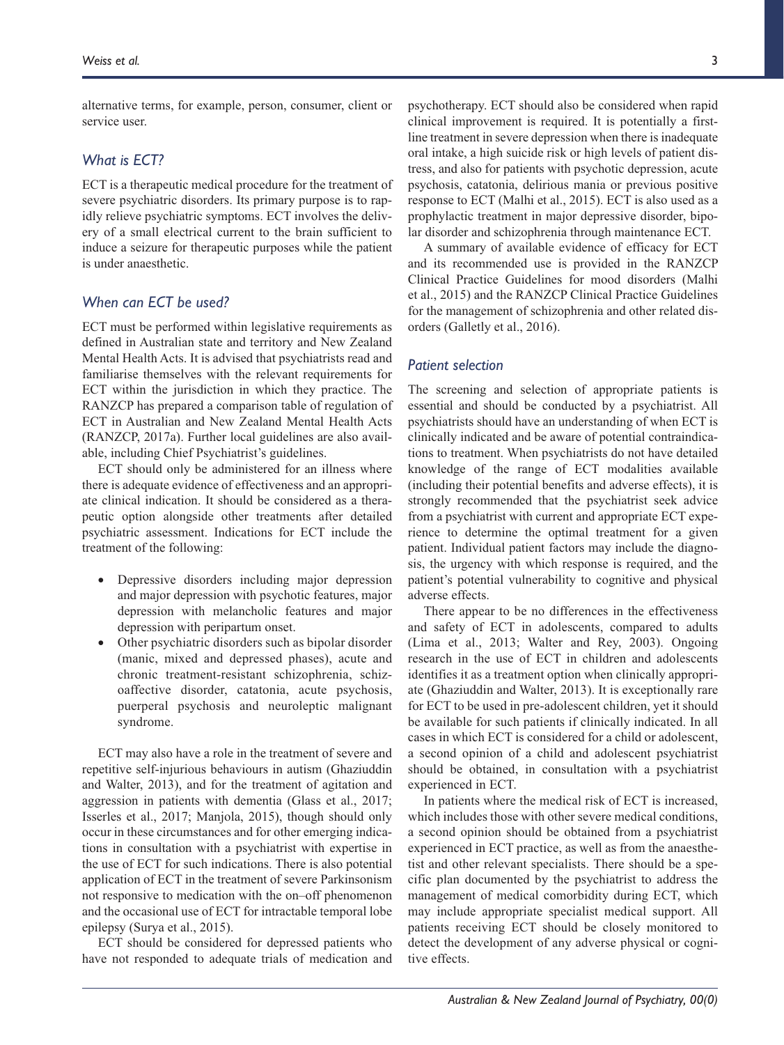alternative terms, for example, person, consumer, client or service user.

#### *What is ECT?*

ECT is a therapeutic medical procedure for the treatment of severe psychiatric disorders. Its primary purpose is to rapidly relieve psychiatric symptoms. ECT involves the delivery of a small electrical current to the brain sufficient to induce a seizure for therapeutic purposes while the patient is under anaesthetic.

## *When can ECT be used?*

ECT must be performed within legislative requirements as defined in Australian state and territory and New Zealand Mental Health Acts. It is advised that psychiatrists read and familiarise themselves with the relevant requirements for ECT within the jurisdiction in which they practice. The RANZCP has prepared a comparison table of regulation of ECT in Australian and New Zealand Mental Health Acts (RANZCP, 2017a). Further local guidelines are also available, including Chief Psychiatrist's guidelines.

ECT should only be administered for an illness where there is adequate evidence of effectiveness and an appropriate clinical indication. It should be considered as a therapeutic option alongside other treatments after detailed psychiatric assessment. Indications for ECT include the treatment of the following:

- Depressive disorders including major depression and major depression with psychotic features, major depression with melancholic features and major depression with peripartum onset.
- Other psychiatric disorders such as bipolar disorder (manic, mixed and depressed phases), acute and chronic treatment-resistant schizophrenia, schizoaffective disorder, catatonia, acute psychosis, puerperal psychosis and neuroleptic malignant syndrome.

ECT may also have a role in the treatment of severe and repetitive self-injurious behaviours in autism (Ghaziuddin and Walter, 2013), and for the treatment of agitation and aggression in patients with dementia (Glass et al., 2017; Isserles et al., 2017; Manjola, 2015), though should only occur in these circumstances and for other emerging indications in consultation with a psychiatrist with expertise in the use of ECT for such indications. There is also potential application of ECT in the treatment of severe Parkinsonism not responsive to medication with the on–off phenomenon and the occasional use of ECT for intractable temporal lobe epilepsy (Surya et al., 2015).

ECT should be considered for depressed patients who have not responded to adequate trials of medication and psychotherapy. ECT should also be considered when rapid clinical improvement is required. It is potentially a firstline treatment in severe depression when there is inadequate oral intake, a high suicide risk or high levels of patient distress, and also for patients with psychotic depression, acute psychosis, catatonia, delirious mania or previous positive response to ECT (Malhi et al., 2015). ECT is also used as a prophylactic treatment in major depressive disorder, bipolar disorder and schizophrenia through maintenance ECT.

A summary of available evidence of efficacy for ECT and its recommended use is provided in the RANZCP Clinical Practice Guidelines for mood disorders (Malhi et al., 2015) and the RANZCP Clinical Practice Guidelines for the management of schizophrenia and other related disorders (Galletly et al., 2016).

#### *Patient selection*

The screening and selection of appropriate patients is essential and should be conducted by a psychiatrist. All psychiatrists should have an understanding of when ECT is clinically indicated and be aware of potential contraindications to treatment. When psychiatrists do not have detailed knowledge of the range of ECT modalities available (including their potential benefits and adverse effects), it is strongly recommended that the psychiatrist seek advice from a psychiatrist with current and appropriate ECT experience to determine the optimal treatment for a given patient. Individual patient factors may include the diagnosis, the urgency with which response is required, and the patient's potential vulnerability to cognitive and physical adverse effects.

There appear to be no differences in the effectiveness and safety of ECT in adolescents, compared to adults (Lima et al., 2013; Walter and Rey, 2003). Ongoing research in the use of ECT in children and adolescents identifies it as a treatment option when clinically appropriate (Ghaziuddin and Walter, 2013). It is exceptionally rare for ECT to be used in pre-adolescent children, yet it should be available for such patients if clinically indicated. In all cases in which ECT is considered for a child or adolescent, a second opinion of a child and adolescent psychiatrist should be obtained, in consultation with a psychiatrist experienced in ECT.

In patients where the medical risk of ECT is increased, which includes those with other severe medical conditions, a second opinion should be obtained from a psychiatrist experienced in ECT practice, as well as from the anaesthetist and other relevant specialists. There should be a specific plan documented by the psychiatrist to address the management of medical comorbidity during ECT, which may include appropriate specialist medical support. All patients receiving ECT should be closely monitored to detect the development of any adverse physical or cognitive effects.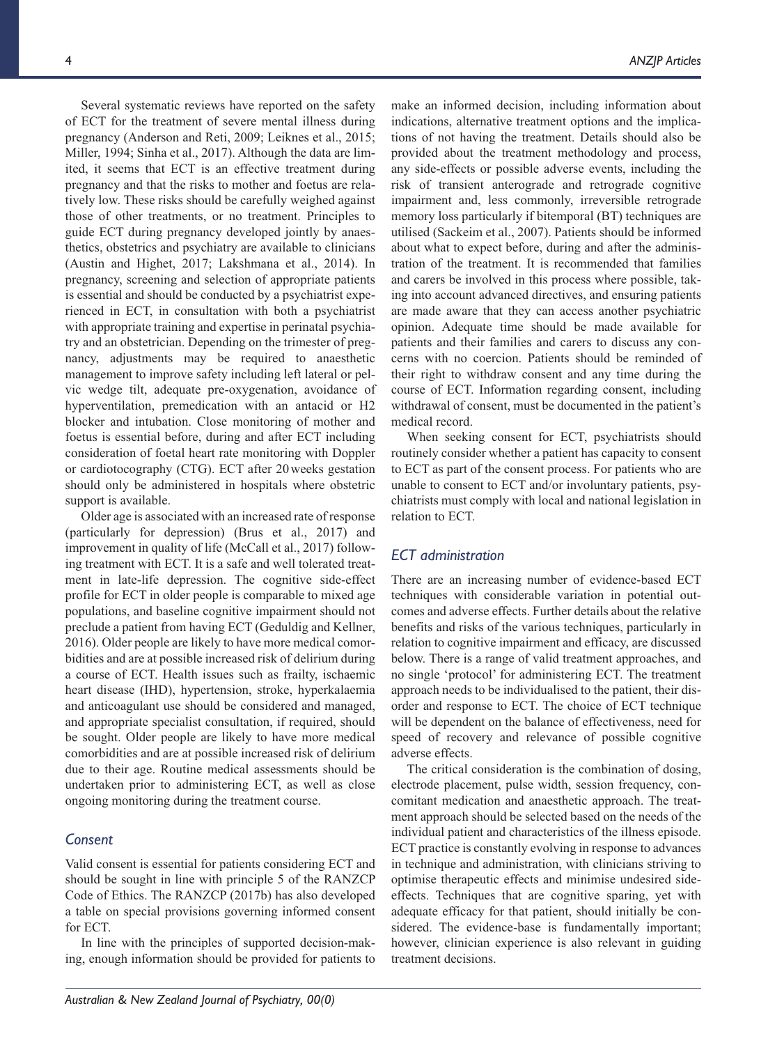Several systematic reviews have reported on the safety of ECT for the treatment of severe mental illness during pregnancy (Anderson and Reti, 2009; Leiknes et al., 2015; Miller, 1994; Sinha et al., 2017). Although the data are limited, it seems that ECT is an effective treatment during pregnancy and that the risks to mother and foetus are relatively low. These risks should be carefully weighed against those of other treatments, or no treatment. Principles to guide ECT during pregnancy developed jointly by anaesthetics, obstetrics and psychiatry are available to clinicians (Austin and Highet, 2017; Lakshmana et al., 2014). In pregnancy, screening and selection of appropriate patients is essential and should be conducted by a psychiatrist experienced in ECT, in consultation with both a psychiatrist with appropriate training and expertise in perinatal psychiatry and an obstetrician. Depending on the trimester of pregnancy, adjustments may be required to anaesthetic management to improve safety including left lateral or pelvic wedge tilt, adequate pre-oxygenation, avoidance of hyperventilation, premedication with an antacid or H2 blocker and intubation. Close monitoring of mother and foetus is essential before, during and after ECT including consideration of foetal heart rate monitoring with Doppler or cardiotocography (CTG). ECT after 20weeks gestation should only be administered in hospitals where obstetric support is available.

Older age is associated with an increased rate of response (particularly for depression) (Brus et al., 2017) and improvement in quality of life (McCall et al., 2017) following treatment with ECT. It is a safe and well tolerated treatment in late-life depression. The cognitive side-effect profile for ECT in older people is comparable to mixed age populations, and baseline cognitive impairment should not preclude a patient from having ECT (Geduldig and Kellner, 2016). Older people are likely to have more medical comorbidities and are at possible increased risk of delirium during a course of ECT. Health issues such as frailty, ischaemic heart disease (IHD), hypertension, stroke, hyperkalaemia and anticoagulant use should be considered and managed, and appropriate specialist consultation, if required, should be sought. Older people are likely to have more medical comorbidities and are at possible increased risk of delirium due to their age. Routine medical assessments should be undertaken prior to administering ECT, as well as close ongoing monitoring during the treatment course.

## *Consent*

Valid consent is essential for patients considering ECT and should be sought in line with principle 5 of the RANZCP Code of Ethics. The RANZCP (2017b) has also developed a table on special provisions governing informed consent for ECT.

In line with the principles of supported decision-making, enough information should be provided for patients to make an informed decision, including information about indications, alternative treatment options and the implications of not having the treatment. Details should also be provided about the treatment methodology and process, any side-effects or possible adverse events, including the risk of transient anterograde and retrograde cognitive impairment and, less commonly, irreversible retrograde memory loss particularly if bitemporal (BT) techniques are utilised (Sackeim et al., 2007). Patients should be informed about what to expect before, during and after the administration of the treatment. It is recommended that families and carers be involved in this process where possible, taking into account advanced directives, and ensuring patients are made aware that they can access another psychiatric opinion. Adequate time should be made available for patients and their families and carers to discuss any concerns with no coercion. Patients should be reminded of their right to withdraw consent and any time during the course of ECT. Information regarding consent, including withdrawal of consent, must be documented in the patient's medical record.

When seeking consent for ECT, psychiatrists should routinely consider whether a patient has capacity to consent to ECT as part of the consent process. For patients who are unable to consent to ECT and/or involuntary patients, psychiatrists must comply with local and national legislation in relation to ECT.

## *ECT administration*

There are an increasing number of evidence-based ECT techniques with considerable variation in potential outcomes and adverse effects. Further details about the relative benefits and risks of the various techniques, particularly in relation to cognitive impairment and efficacy, are discussed below. There is a range of valid treatment approaches, and no single 'protocol' for administering ECT. The treatment approach needs to be individualised to the patient, their disorder and response to ECT. The choice of ECT technique will be dependent on the balance of effectiveness, need for speed of recovery and relevance of possible cognitive adverse effects.

The critical consideration is the combination of dosing, electrode placement, pulse width, session frequency, concomitant medication and anaesthetic approach. The treatment approach should be selected based on the needs of the individual patient and characteristics of the illness episode. ECT practice is constantly evolving in response to advances in technique and administration, with clinicians striving to optimise therapeutic effects and minimise undesired sideeffects. Techniques that are cognitive sparing, yet with adequate efficacy for that patient, should initially be considered. The evidence-base is fundamentally important; however, clinician experience is also relevant in guiding treatment decisions.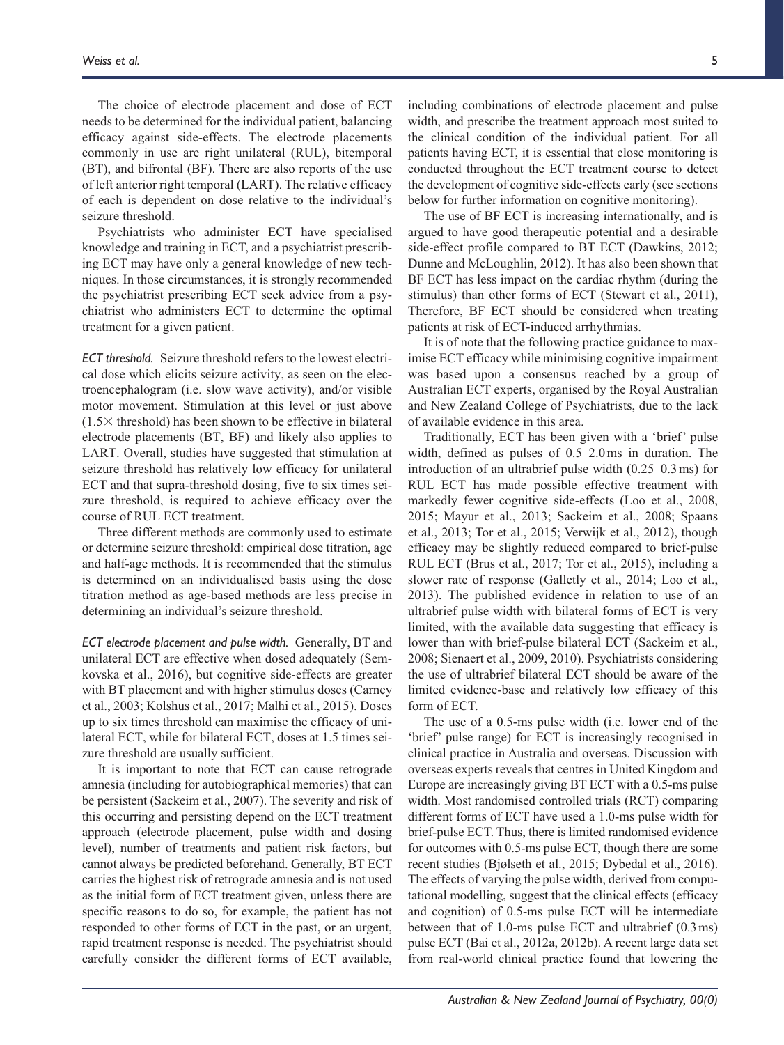The choice of electrode placement and dose of ECT needs to be determined for the individual patient, balancing efficacy against side-effects. The electrode placements commonly in use are right unilateral (RUL), bitemporal (BT), and bifrontal (BF). There are also reports of the use of left anterior right temporal (LART). The relative efficacy of each is dependent on dose relative to the individual's seizure threshold.

Psychiatrists who administer ECT have specialised knowledge and training in ECT, and a psychiatrist prescribing ECT may have only a general knowledge of new techniques. In those circumstances, it is strongly recommended the psychiatrist prescribing ECT seek advice from a psychiatrist who administers ECT to determine the optimal treatment for a given patient.

*ECT threshold.* Seizure threshold refers to the lowest electrical dose which elicits seizure activity, as seen on the electroencephalogram (i.e. slow wave activity), and/or visible motor movement. Stimulation at this level or just above  $(1.5\times$  threshold) has been shown to be effective in bilateral electrode placements (BT, BF) and likely also applies to LART. Overall, studies have suggested that stimulation at seizure threshold has relatively low efficacy for unilateral ECT and that supra-threshold dosing, five to six times seizure threshold, is required to achieve efficacy over the course of RUL ECT treatment.

Three different methods are commonly used to estimate or determine seizure threshold: empirical dose titration, age and half-age methods. It is recommended that the stimulus is determined on an individualised basis using the dose titration method as age-based methods are less precise in determining an individual's seizure threshold.

*ECT electrode placement and pulse width.* Generally, BT and unilateral ECT are effective when dosed adequately (Semkovska et al., 2016), but cognitive side-effects are greater with BT placement and with higher stimulus doses (Carney et al., 2003; Kolshus et al., 2017; Malhi et al., 2015). Doses up to six times threshold can maximise the efficacy of unilateral ECT, while for bilateral ECT, doses at 1.5 times seizure threshold are usually sufficient.

It is important to note that ECT can cause retrograde amnesia (including for autobiographical memories) that can be persistent (Sackeim et al., 2007). The severity and risk of this occurring and persisting depend on the ECT treatment approach (electrode placement, pulse width and dosing level), number of treatments and patient risk factors, but cannot always be predicted beforehand. Generally, BT ECT carries the highest risk of retrograde amnesia and is not used as the initial form of ECT treatment given, unless there are specific reasons to do so, for example, the patient has not responded to other forms of ECT in the past, or an urgent, rapid treatment response is needed. The psychiatrist should carefully consider the different forms of ECT available,

including combinations of electrode placement and pulse width, and prescribe the treatment approach most suited to the clinical condition of the individual patient. For all patients having ECT, it is essential that close monitoring is conducted throughout the ECT treatment course to detect the development of cognitive side-effects early (see sections below for further information on cognitive monitoring).

The use of BF ECT is increasing internationally, and is argued to have good therapeutic potential and a desirable side-effect profile compared to BT ECT (Dawkins, 2012; Dunne and McLoughlin, 2012). It has also been shown that BF ECT has less impact on the cardiac rhythm (during the stimulus) than other forms of ECT (Stewart et al., 2011), Therefore, BF ECT should be considered when treating patients at risk of ECT-induced arrhythmias.

It is of note that the following practice guidance to maximise ECT efficacy while minimising cognitive impairment was based upon a consensus reached by a group of Australian ECT experts, organised by the Royal Australian and New Zealand College of Psychiatrists, due to the lack of available evidence in this area.

Traditionally, ECT has been given with a 'brief' pulse width, defined as pulses of 0.5–2.0ms in duration. The introduction of an ultrabrief pulse width (0.25–0.3ms) for RUL ECT has made possible effective treatment with markedly fewer cognitive side-effects (Loo et al., 2008, 2015; Mayur et al., 2013; Sackeim et al., 2008; Spaans et al., 2013; Tor et al., 2015; Verwijk et al., 2012), though efficacy may be slightly reduced compared to brief-pulse RUL ECT (Brus et al., 2017; Tor et al., 2015), including a slower rate of response (Galletly et al., 2014; Loo et al., 2013). The published evidence in relation to use of an ultrabrief pulse width with bilateral forms of ECT is very limited, with the available data suggesting that efficacy is lower than with brief-pulse bilateral ECT (Sackeim et al., 2008; Sienaert et al., 2009, 2010). Psychiatrists considering the use of ultrabrief bilateral ECT should be aware of the limited evidence-base and relatively low efficacy of this form of ECT.

The use of a 0.5-ms pulse width (i.e. lower end of the 'brief' pulse range) for ECT is increasingly recognised in clinical practice in Australia and overseas. Discussion with overseas experts reveals that centres in United Kingdom and Europe are increasingly giving BT ECT with a 0.5-ms pulse width. Most randomised controlled trials (RCT) comparing different forms of ECT have used a 1.0-ms pulse width for brief-pulse ECT. Thus, there is limited randomised evidence for outcomes with 0.5-ms pulse ECT, though there are some recent studies (Bjølseth et al., 2015; Dybedal et al., 2016). The effects of varying the pulse width, derived from computational modelling, suggest that the clinical effects (efficacy and cognition) of 0.5-ms pulse ECT will be intermediate between that of 1.0-ms pulse ECT and ultrabrief (0.3ms) pulse ECT (Bai et al., 2012a, 2012b). A recent large data set from real-world clinical practice found that lowering the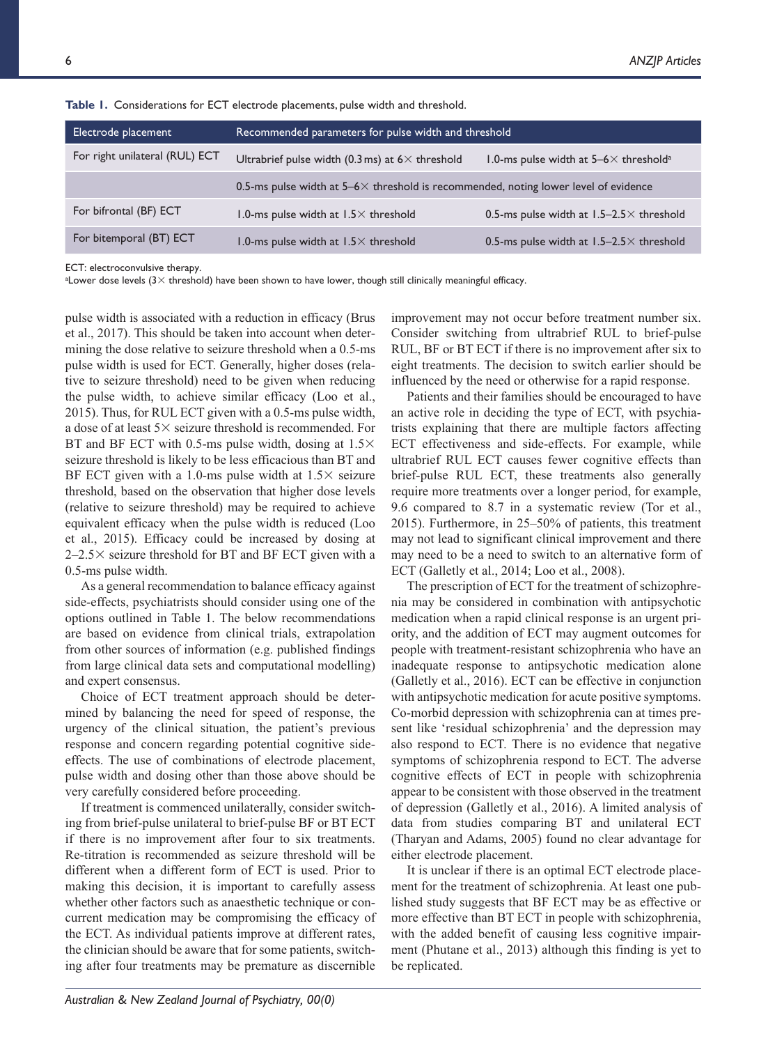| Electrode placement            | Recommended parameters for pulse width and threshold                                       |                                                          |
|--------------------------------|--------------------------------------------------------------------------------------------|----------------------------------------------------------|
| For right unilateral (RUL) ECT | Ultrabrief pulse width (0.3 ms) at $6\times$ threshold                                     | 1.0-ms pulse width at $5-6\times$ threshold <sup>a</sup> |
|                                | 0.5-ms pulse width at $5-6\times$ threshold is recommended, noting lower level of evidence |                                                          |
| For bifrontal (BF) ECT         | 1.0-ms pulse width at $1.5\times$ threshold                                                | 0.5-ms pulse width at $1.5-2.5\times$ threshold          |
| For bitemporal (BT) ECT        | 1.0-ms pulse width at 1.5 X threshold                                                      | 0.5-ms pulse width at $1.5-2.5\times$ threshold          |

**Table 1.** Considerations for ECT electrode placements, pulse width and threshold.

ECT: electroconvulsive therapy.

 $^{\rm a}$ Lower dose levels (3 $\times$  threshold) have been shown to have lower, though still clinically meaningful efficacy.

pulse width is associated with a reduction in efficacy (Brus et al., 2017). This should be taken into account when determining the dose relative to seizure threshold when a 0.5-ms pulse width is used for ECT. Generally, higher doses (relative to seizure threshold) need to be given when reducing the pulse width, to achieve similar efficacy (Loo et al., 2015). Thus, for RUL ECT given with a 0.5-ms pulse width, a dose of at least 5× seizure threshold is recommended. For BT and BF ECT with 0.5-ms pulse width, dosing at  $1.5\times$ seizure threshold is likely to be less efficacious than BT and BF ECT given with a 1.0-ms pulse width at  $1.5\times$  seizure threshold, based on the observation that higher dose levels (relative to seizure threshold) may be required to achieve equivalent efficacy when the pulse width is reduced (Loo et al., 2015). Efficacy could be increased by dosing at  $2-2.5\times$  seizure threshold for BT and BF ECT given with a 0.5-ms pulse width.

As a general recommendation to balance efficacy against side-effects, psychiatrists should consider using one of the options outlined in Table 1. The below recommendations are based on evidence from clinical trials, extrapolation from other sources of information (e.g. published findings from large clinical data sets and computational modelling) and expert consensus.

Choice of ECT treatment approach should be determined by balancing the need for speed of response, the urgency of the clinical situation, the patient's previous response and concern regarding potential cognitive sideeffects. The use of combinations of electrode placement, pulse width and dosing other than those above should be very carefully considered before proceeding.

If treatment is commenced unilaterally, consider switching from brief-pulse unilateral to brief-pulse BF or BT ECT if there is no improvement after four to six treatments. Re-titration is recommended as seizure threshold will be different when a different form of ECT is used. Prior to making this decision, it is important to carefully assess whether other factors such as anaesthetic technique or concurrent medication may be compromising the efficacy of the ECT. As individual patients improve at different rates, the clinician should be aware that for some patients, switching after four treatments may be premature as discernible

improvement may not occur before treatment number six. Consider switching from ultrabrief RUL to brief-pulse RUL, BF or BT ECT if there is no improvement after six to eight treatments. The decision to switch earlier should be influenced by the need or otherwise for a rapid response.

Patients and their families should be encouraged to have an active role in deciding the type of ECT, with psychiatrists explaining that there are multiple factors affecting ECT effectiveness and side-effects. For example, while ultrabrief RUL ECT causes fewer cognitive effects than brief-pulse RUL ECT, these treatments also generally require more treatments over a longer period, for example, 9.6 compared to 8.7 in a systematic review (Tor et al., 2015). Furthermore, in 25–50% of patients, this treatment may not lead to significant clinical improvement and there may need to be a need to switch to an alternative form of ECT (Galletly et al., 2014; Loo et al., 2008).

The prescription of ECT for the treatment of schizophrenia may be considered in combination with antipsychotic medication when a rapid clinical response is an urgent priority, and the addition of ECT may augment outcomes for people with treatment-resistant schizophrenia who have an inadequate response to antipsychotic medication alone (Galletly et al., 2016). ECT can be effective in conjunction with antipsychotic medication for acute positive symptoms. Co-morbid depression with schizophrenia can at times present like 'residual schizophrenia' and the depression may also respond to ECT. There is no evidence that negative symptoms of schizophrenia respond to ECT. The adverse cognitive effects of ECT in people with schizophrenia appear to be consistent with those observed in the treatment of depression (Galletly et al., 2016). A limited analysis of data from studies comparing BT and unilateral ECT (Tharyan and Adams, 2005) found no clear advantage for either electrode placement.

It is unclear if there is an optimal ECT electrode placement for the treatment of schizophrenia. At least one published study suggests that BF ECT may be as effective or more effective than BT ECT in people with schizophrenia, with the added benefit of causing less cognitive impairment (Phutane et al., 2013) although this finding is yet to be replicated.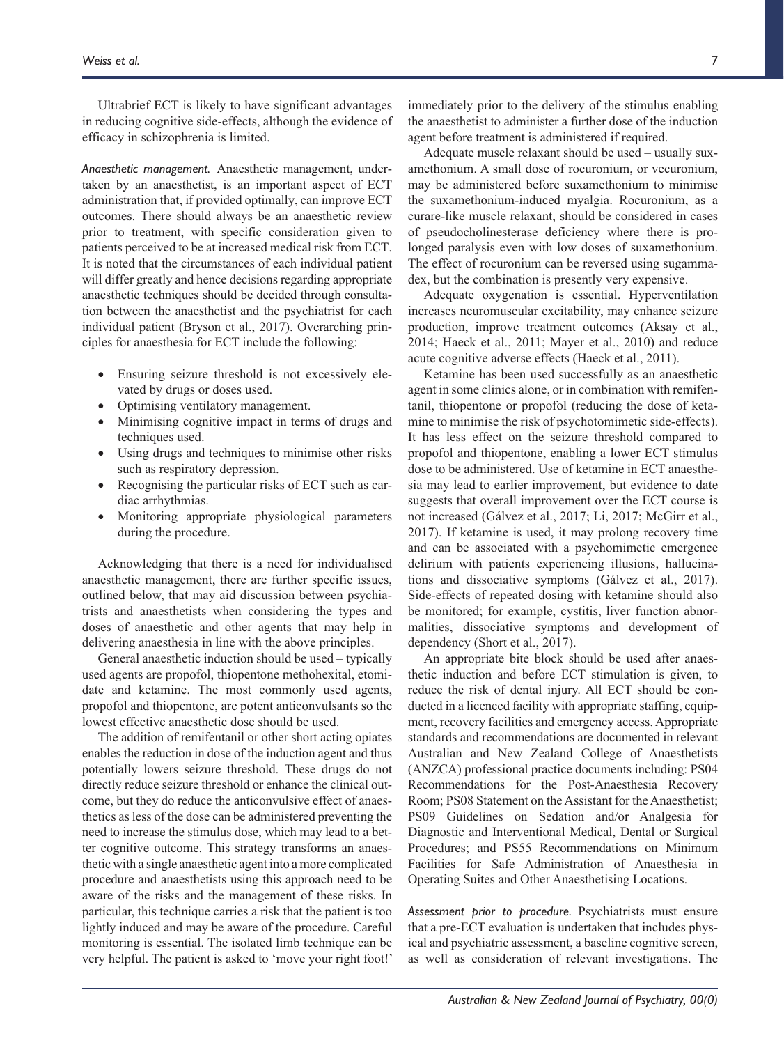Ultrabrief ECT is likely to have significant advantages in reducing cognitive side-effects, although the evidence of efficacy in schizophrenia is limited.

*Anaesthetic management.* Anaesthetic management, undertaken by an anaesthetist, is an important aspect of ECT administration that, if provided optimally, can improve ECT outcomes. There should always be an anaesthetic review prior to treatment, with specific consideration given to patients perceived to be at increased medical risk from ECT. It is noted that the circumstances of each individual patient will differ greatly and hence decisions regarding appropriate anaesthetic techniques should be decided through consultation between the anaesthetist and the psychiatrist for each individual patient (Bryson et al., 2017). Overarching principles for anaesthesia for ECT include the following:

- Ensuring seizure threshold is not excessively elevated by drugs or doses used.
- Optimising ventilatory management.
- Minimising cognitive impact in terms of drugs and techniques used.
- Using drugs and techniques to minimise other risks such as respiratory depression.
- Recognising the particular risks of ECT such as cardiac arrhythmias.
- Monitoring appropriate physiological parameters during the procedure.

Acknowledging that there is a need for individualised anaesthetic management, there are further specific issues, outlined below, that may aid discussion between psychiatrists and anaesthetists when considering the types and doses of anaesthetic and other agents that may help in delivering anaesthesia in line with the above principles.

General anaesthetic induction should be used – typically used agents are propofol, thiopentone methohexital, etomidate and ketamine. The most commonly used agents, propofol and thiopentone, are potent anticonvulsants so the lowest effective anaesthetic dose should be used.

The addition of remifentanil or other short acting opiates enables the reduction in dose of the induction agent and thus potentially lowers seizure threshold. These drugs do not directly reduce seizure threshold or enhance the clinical outcome, but they do reduce the anticonvulsive effect of anaesthetics as less of the dose can be administered preventing the need to increase the stimulus dose, which may lead to a better cognitive outcome. This strategy transforms an anaesthetic with a single anaesthetic agent into a more complicated procedure and anaesthetists using this approach need to be aware of the risks and the management of these risks. In particular, this technique carries a risk that the patient is too lightly induced and may be aware of the procedure. Careful monitoring is essential. The isolated limb technique can be very helpful. The patient is asked to 'move your right foot!'

immediately prior to the delivery of the stimulus enabling the anaesthetist to administer a further dose of the induction agent before treatment is administered if required.

Adequate muscle relaxant should be used – usually suxamethonium. A small dose of rocuronium, or vecuronium, may be administered before suxamethonium to minimise the suxamethonium-induced myalgia. Rocuronium, as a curare-like muscle relaxant, should be considered in cases of pseudocholinesterase deficiency where there is prolonged paralysis even with low doses of suxamethonium. The effect of rocuronium can be reversed using sugammadex, but the combination is presently very expensive.

Adequate oxygenation is essential. Hyperventilation increases neuromuscular excitability, may enhance seizure production, improve treatment outcomes (Aksay et al., 2014; Haeck et al., 2011; Mayer et al., 2010) and reduce acute cognitive adverse effects (Haeck et al., 2011).

Ketamine has been used successfully as an anaesthetic agent in some clinics alone, or in combination with remifentanil, thiopentone or propofol (reducing the dose of ketamine to minimise the risk of psychotomimetic side-effects). It has less effect on the seizure threshold compared to propofol and thiopentone, enabling a lower ECT stimulus dose to be administered. Use of ketamine in ECT anaesthesia may lead to earlier improvement, but evidence to date suggests that overall improvement over the ECT course is not increased (Gálvez et al., 2017; Li, 2017; McGirr et al., 2017). If ketamine is used, it may prolong recovery time and can be associated with a psychomimetic emergence delirium with patients experiencing illusions, hallucinations and dissociative symptoms (Gálvez et al., 2017). Side-effects of repeated dosing with ketamine should also be monitored; for example, cystitis, liver function abnormalities, dissociative symptoms and development of dependency (Short et al., 2017).

An appropriate bite block should be used after anaesthetic induction and before ECT stimulation is given, to reduce the risk of dental injury. All ECT should be conducted in a licenced facility with appropriate staffing, equipment, recovery facilities and emergency access. Appropriate standards and recommendations are documented in relevant Australian and New Zealand College of Anaesthetists (ANZCA) professional practice documents including: PS04 Recommendations for the Post-Anaesthesia Recovery Room; PS08 Statement on the Assistant for the Anaesthetist; PS09 Guidelines on Sedation and/or Analgesia for Diagnostic and Interventional Medical, Dental or Surgical Procedures; and PS55 Recommendations on Minimum Facilities for Safe Administration of Anaesthesia in Operating Suites and Other Anaesthetising Locations.

*Assessment prior to procedure.* Psychiatrists must ensure that a pre-ECT evaluation is undertaken that includes physical and psychiatric assessment, a baseline cognitive screen, as well as consideration of relevant investigations. The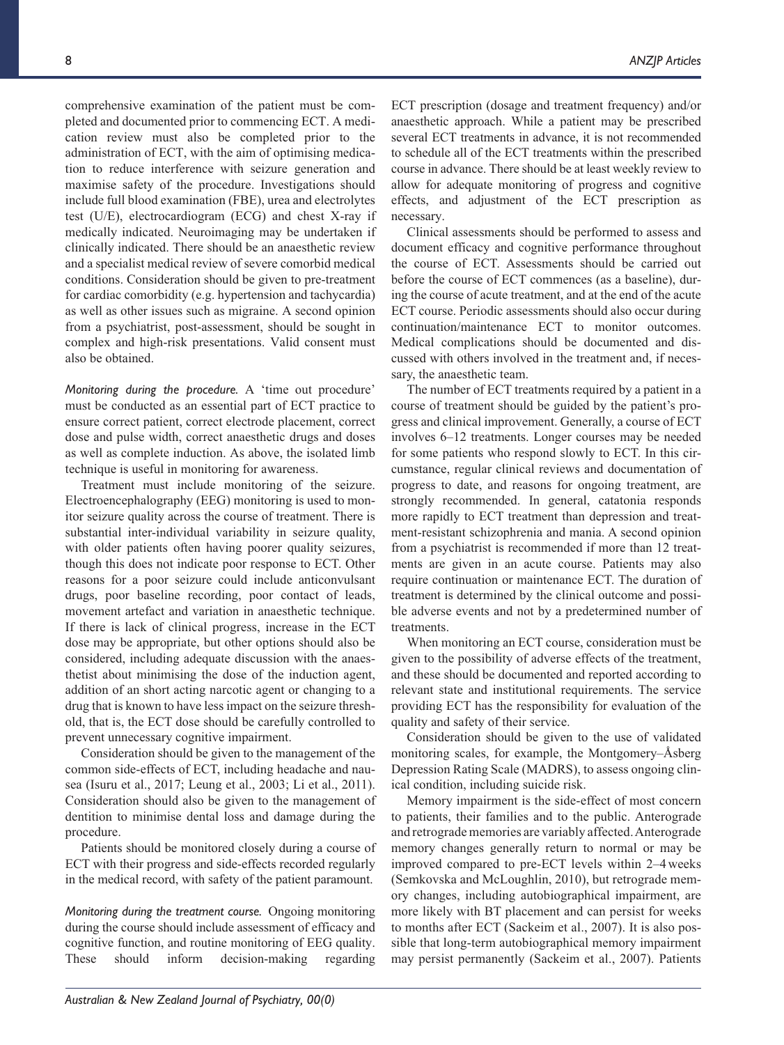comprehensive examination of the patient must be completed and documented prior to commencing ECT. A medication review must also be completed prior to the administration of ECT, with the aim of optimising medication to reduce interference with seizure generation and maximise safety of the procedure. Investigations should include full blood examination (FBE), urea and electrolytes test (U/E), electrocardiogram (ECG) and chest X-ray if medically indicated. Neuroimaging may be undertaken if clinically indicated. There should be an anaesthetic review and a specialist medical review of severe comorbid medical conditions. Consideration should be given to pre-treatment for cardiac comorbidity (e.g. hypertension and tachycardia) as well as other issues such as migraine. A second opinion from a psychiatrist, post-assessment, should be sought in complex and high-risk presentations. Valid consent must also be obtained.

*Monitoring during the procedure.* A 'time out procedure' must be conducted as an essential part of ECT practice to ensure correct patient, correct electrode placement, correct dose and pulse width, correct anaesthetic drugs and doses as well as complete induction. As above, the isolated limb technique is useful in monitoring for awareness.

Treatment must include monitoring of the seizure. Electroencephalography (EEG) monitoring is used to monitor seizure quality across the course of treatment. There is substantial inter-individual variability in seizure quality, with older patients often having poorer quality seizures, though this does not indicate poor response to ECT. Other reasons for a poor seizure could include anticonvulsant drugs, poor baseline recording, poor contact of leads, movement artefact and variation in anaesthetic technique. If there is lack of clinical progress, increase in the ECT dose may be appropriate, but other options should also be considered, including adequate discussion with the anaesthetist about minimising the dose of the induction agent, addition of an short acting narcotic agent or changing to a drug that is known to have less impact on the seizure threshold, that is, the ECT dose should be carefully controlled to prevent unnecessary cognitive impairment.

Consideration should be given to the management of the common side-effects of ECT, including headache and nausea (Isuru et al., 2017; Leung et al., 2003; Li et al., 2011). Consideration should also be given to the management of dentition to minimise dental loss and damage during the procedure.

Patients should be monitored closely during a course of ECT with their progress and side-effects recorded regularly in the medical record, with safety of the patient paramount.

*Monitoring during the treatment course.* Ongoing monitoring during the course should include assessment of efficacy and cognitive function, and routine monitoring of EEG quality. These should inform decision-making regarding ECT prescription (dosage and treatment frequency) and/or anaesthetic approach. While a patient may be prescribed several ECT treatments in advance, it is not recommended to schedule all of the ECT treatments within the prescribed course in advance. There should be at least weekly review to allow for adequate monitoring of progress and cognitive effects, and adjustment of the ECT prescription as necessary.

Clinical assessments should be performed to assess and document efficacy and cognitive performance throughout the course of ECT. Assessments should be carried out before the course of ECT commences (as a baseline), during the course of acute treatment, and at the end of the acute ECT course. Periodic assessments should also occur during continuation/maintenance ECT to monitor outcomes. Medical complications should be documented and discussed with others involved in the treatment and, if necessary, the anaesthetic team.

The number of ECT treatments required by a patient in a course of treatment should be guided by the patient's progress and clinical improvement. Generally, a course of ECT involves 6–12 treatments. Longer courses may be needed for some patients who respond slowly to ECT. In this circumstance, regular clinical reviews and documentation of progress to date, and reasons for ongoing treatment, are strongly recommended. In general, catatonia responds more rapidly to ECT treatment than depression and treatment-resistant schizophrenia and mania. A second opinion from a psychiatrist is recommended if more than 12 treatments are given in an acute course. Patients may also require continuation or maintenance ECT. The duration of treatment is determined by the clinical outcome and possible adverse events and not by a predetermined number of treatments.

When monitoring an ECT course, consideration must be given to the possibility of adverse effects of the treatment, and these should be documented and reported according to relevant state and institutional requirements. The service providing ECT has the responsibility for evaluation of the quality and safety of their service.

Consideration should be given to the use of validated monitoring scales, for example, the Montgomery–Åsberg Depression Rating Scale (MADRS), to assess ongoing clinical condition, including suicide risk.

Memory impairment is the side-effect of most concern to patients, their families and to the public. Anterograde and retrograde memories are variably affected. Anterograde memory changes generally return to normal or may be improved compared to pre-ECT levels within 2–4weeks (Semkovska and McLoughlin, 2010), but retrograde memory changes, including autobiographical impairment, are more likely with BT placement and can persist for weeks to months after ECT (Sackeim et al., 2007). It is also possible that long-term autobiographical memory impairment may persist permanently (Sackeim et al., 2007). Patients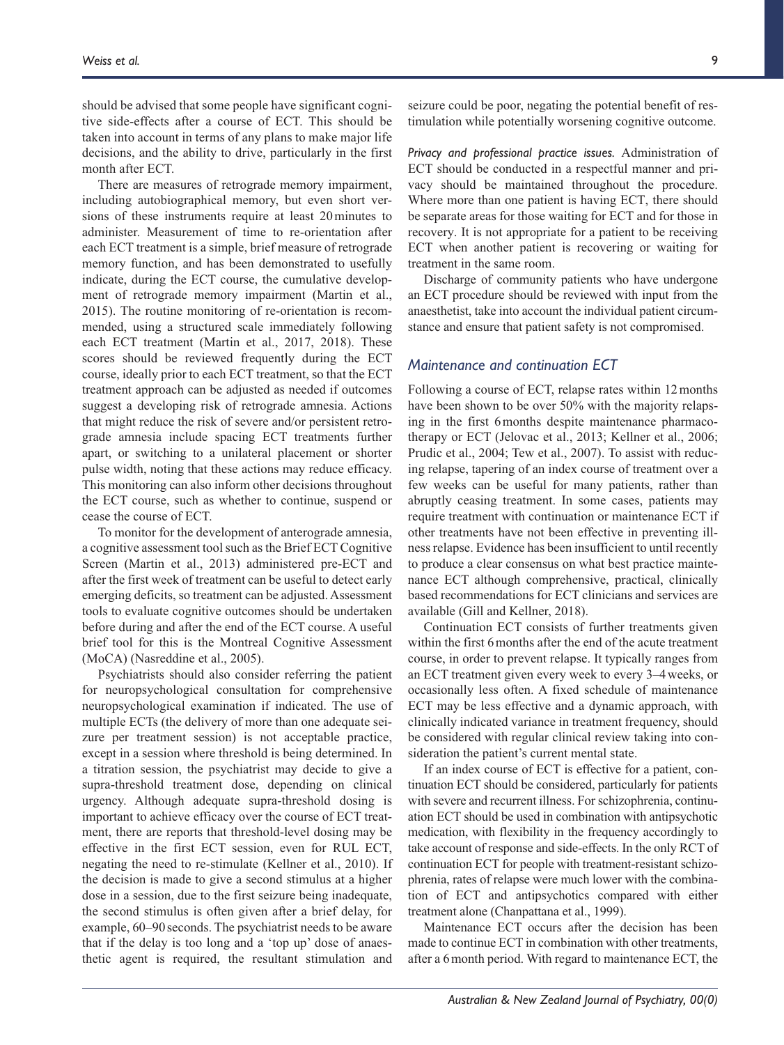should be advised that some people have significant cognitive side-effects after a course of ECT. This should be taken into account in terms of any plans to make major life decisions, and the ability to drive, particularly in the first month after ECT.

There are measures of retrograde memory impairment, including autobiographical memory, but even short versions of these instruments require at least 20minutes to administer. Measurement of time to re-orientation after each ECT treatment is a simple, brief measure of retrograde memory function, and has been demonstrated to usefully indicate, during the ECT course, the cumulative development of retrograde memory impairment (Martin et al., 2015). The routine monitoring of re-orientation is recommended, using a structured scale immediately following each ECT treatment (Martin et al., 2017, 2018). These scores should be reviewed frequently during the ECT course, ideally prior to each ECT treatment, so that the ECT treatment approach can be adjusted as needed if outcomes suggest a developing risk of retrograde amnesia. Actions that might reduce the risk of severe and/or persistent retrograde amnesia include spacing ECT treatments further apart, or switching to a unilateral placement or shorter pulse width, noting that these actions may reduce efficacy. This monitoring can also inform other decisions throughout the ECT course, such as whether to continue, suspend or cease the course of ECT.

To monitor for the development of anterograde amnesia, a cognitive assessment tool such as the Brief ECT Cognitive Screen (Martin et al., 2013) administered pre-ECT and after the first week of treatment can be useful to detect early emerging deficits, so treatment can be adjusted. Assessment tools to evaluate cognitive outcomes should be undertaken before during and after the end of the ECT course. A useful brief tool for this is the Montreal Cognitive Assessment (MoCA) (Nasreddine et al., 2005).

Psychiatrists should also consider referring the patient for neuropsychological consultation for comprehensive neuropsychological examination if indicated. The use of multiple ECTs (the delivery of more than one adequate seizure per treatment session) is not acceptable practice, except in a session where threshold is being determined. In a titration session, the psychiatrist may decide to give a supra-threshold treatment dose, depending on clinical urgency. Although adequate supra-threshold dosing is important to achieve efficacy over the course of ECT treatment, there are reports that threshold-level dosing may be effective in the first ECT session, even for RUL ECT, negating the need to re-stimulate (Kellner et al., 2010). If the decision is made to give a second stimulus at a higher dose in a session, due to the first seizure being inadequate, the second stimulus is often given after a brief delay, for example, 60–90 seconds. The psychiatrist needs to be aware that if the delay is too long and a 'top up' dose of anaesthetic agent is required, the resultant stimulation and

seizure could be poor, negating the potential benefit of restimulation while potentially worsening cognitive outcome.

*Privacy and professional practice issues.* Administration of ECT should be conducted in a respectful manner and privacy should be maintained throughout the procedure. Where more than one patient is having ECT, there should be separate areas for those waiting for ECT and for those in recovery. It is not appropriate for a patient to be receiving ECT when another patient is recovering or waiting for treatment in the same room.

Discharge of community patients who have undergone an ECT procedure should be reviewed with input from the anaesthetist, take into account the individual patient circumstance and ensure that patient safety is not compromised.

#### *Maintenance and continuation ECT*

Following a course of ECT, relapse rates within 12months have been shown to be over 50% with the majority relapsing in the first 6months despite maintenance pharmacotherapy or ECT (Jelovac et al., 2013; Kellner et al., 2006; Prudic et al., 2004; Tew et al., 2007). To assist with reducing relapse, tapering of an index course of treatment over a few weeks can be useful for many patients, rather than abruptly ceasing treatment. In some cases, patients may require treatment with continuation or maintenance ECT if other treatments have not been effective in preventing illness relapse. Evidence has been insufficient to until recently to produce a clear consensus on what best practice maintenance ECT although comprehensive, practical, clinically based recommendations for ECT clinicians and services are available (Gill and Kellner, 2018).

Continuation ECT consists of further treatments given within the first 6 months after the end of the acute treatment course, in order to prevent relapse. It typically ranges from an ECT treatment given every week to every 3–4weeks, or occasionally less often. A fixed schedule of maintenance ECT may be less effective and a dynamic approach, with clinically indicated variance in treatment frequency, should be considered with regular clinical review taking into consideration the patient's current mental state.

If an index course of ECT is effective for a patient, continuation ECT should be considered, particularly for patients with severe and recurrent illness. For schizophrenia, continuation ECT should be used in combination with antipsychotic medication, with flexibility in the frequency accordingly to take account of response and side-effects. In the only RCT of continuation ECT for people with treatment-resistant schizophrenia, rates of relapse were much lower with the combination of ECT and antipsychotics compared with either treatment alone (Chanpattana et al., 1999).

Maintenance ECT occurs after the decision has been made to continue ECT in combination with other treatments, after a 6month period. With regard to maintenance ECT, the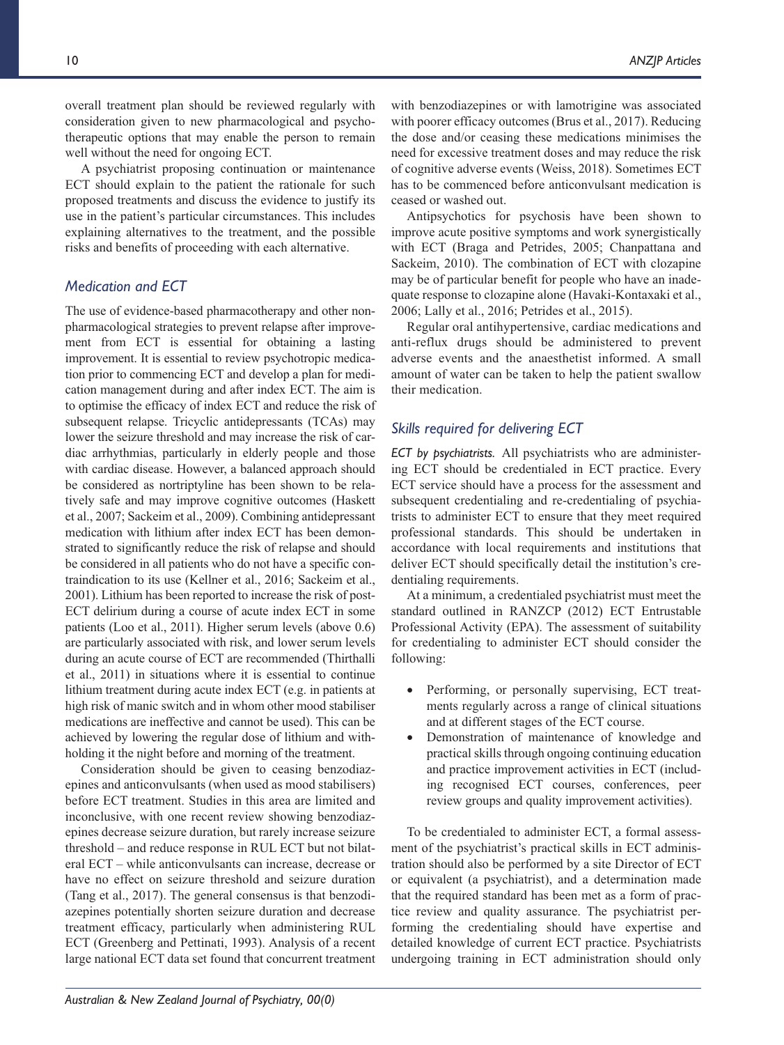overall treatment plan should be reviewed regularly with consideration given to new pharmacological and psychotherapeutic options that may enable the person to remain well without the need for ongoing ECT.

A psychiatrist proposing continuation or maintenance ECT should explain to the patient the rationale for such proposed treatments and discuss the evidence to justify its use in the patient's particular circumstances. This includes explaining alternatives to the treatment, and the possible risks and benefits of proceeding with each alternative.

#### *Medication and ECT*

The use of evidence-based pharmacotherapy and other nonpharmacological strategies to prevent relapse after improvement from ECT is essential for obtaining a lasting improvement. It is essential to review psychotropic medication prior to commencing ECT and develop a plan for medication management during and after index ECT. The aim is to optimise the efficacy of index ECT and reduce the risk of subsequent relapse. Tricyclic antidepressants (TCAs) may lower the seizure threshold and may increase the risk of cardiac arrhythmias, particularly in elderly people and those with cardiac disease. However, a balanced approach should be considered as nortriptyline has been shown to be relatively safe and may improve cognitive outcomes (Haskett et al., 2007; Sackeim et al., 2009). Combining antidepressant medication with lithium after index ECT has been demonstrated to significantly reduce the risk of relapse and should be considered in all patients who do not have a specific contraindication to its use (Kellner et al., 2016; Sackeim et al., 2001). Lithium has been reported to increase the risk of post-ECT delirium during a course of acute index ECT in some patients (Loo et al., 2011). Higher serum levels (above 0.6) are particularly associated with risk, and lower serum levels during an acute course of ECT are recommended (Thirthalli et al., 2011) in situations where it is essential to continue lithium treatment during acute index ECT (e.g. in patients at high risk of manic switch and in whom other mood stabiliser medications are ineffective and cannot be used). This can be achieved by lowering the regular dose of lithium and withholding it the night before and morning of the treatment.

Consideration should be given to ceasing benzodiazepines and anticonvulsants (when used as mood stabilisers) before ECT treatment. Studies in this area are limited and inconclusive, with one recent review showing benzodiazepines decrease seizure duration, but rarely increase seizure threshold – and reduce response in RUL ECT but not bilateral ECT – while anticonvulsants can increase, decrease or have no effect on seizure threshold and seizure duration (Tang et al., 2017). The general consensus is that benzodiazepines potentially shorten seizure duration and decrease treatment efficacy, particularly when administering RUL ECT (Greenberg and Pettinati, 1993). Analysis of a recent large national ECT data set found that concurrent treatment with benzodiazepines or with lamotrigine was associated with poorer efficacy outcomes (Brus et al., 2017). Reducing the dose and/or ceasing these medications minimises the need for excessive treatment doses and may reduce the risk of cognitive adverse events (Weiss, 2018). Sometimes ECT has to be commenced before anticonvulsant medication is ceased or washed out.

Antipsychotics for psychosis have been shown to improve acute positive symptoms and work synergistically with ECT (Braga and Petrides, 2005; Chanpattana and Sackeim, 2010). The combination of ECT with clozapine may be of particular benefit for people who have an inadequate response to clozapine alone (Havaki-Kontaxaki et al., 2006; Lally et al., 2016; Petrides et al., 2015).

Regular oral antihypertensive, cardiac medications and anti-reflux drugs should be administered to prevent adverse events and the anaesthetist informed. A small amount of water can be taken to help the patient swallow their medication.

## *Skills required for delivering ECT*

*ECT by psychiatrists.* All psychiatrists who are administering ECT should be credentialed in ECT practice. Every ECT service should have a process for the assessment and subsequent credentialing and re-credentialing of psychiatrists to administer ECT to ensure that they meet required professional standards. This should be undertaken in accordance with local requirements and institutions that deliver ECT should specifically detail the institution's credentialing requirements.

At a minimum, a credentialed psychiatrist must meet the standard outlined in RANZCP (2012) ECT Entrustable Professional Activity (EPA). The assessment of suitability for credentialing to administer ECT should consider the following:

- Performing, or personally supervising, ECT treatments regularly across a range of clinical situations and at different stages of the ECT course.
- Demonstration of maintenance of knowledge and practical skills through ongoing continuing education and practice improvement activities in ECT (including recognised ECT courses, conferences, peer review groups and quality improvement activities).

To be credentialed to administer ECT, a formal assessment of the psychiatrist's practical skills in ECT administration should also be performed by a site Director of ECT or equivalent (a psychiatrist), and a determination made that the required standard has been met as a form of practice review and quality assurance. The psychiatrist performing the credentialing should have expertise and detailed knowledge of current ECT practice. Psychiatrists undergoing training in ECT administration should only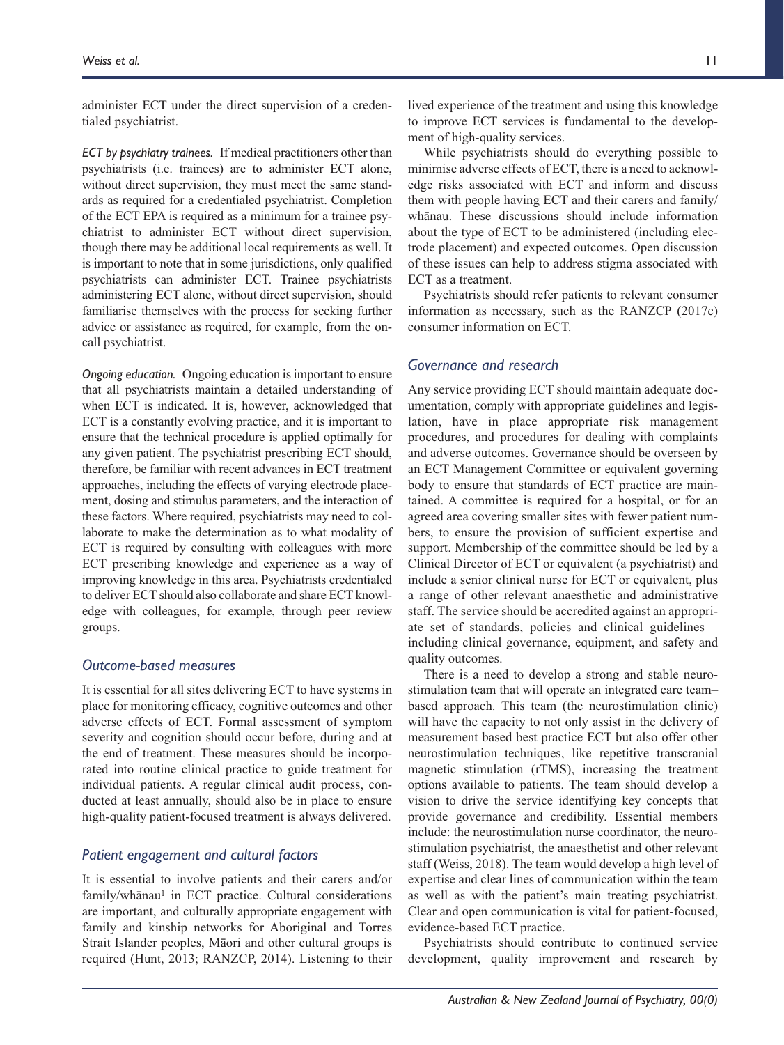administer ECT under the direct supervision of a credentialed psychiatrist.

*ECT by psychiatry trainees.* If medical practitioners other than psychiatrists (i.e. trainees) are to administer ECT alone, without direct supervision, they must meet the same standards as required for a credentialed psychiatrist. Completion of the ECT EPA is required as a minimum for a trainee psychiatrist to administer ECT without direct supervision, though there may be additional local requirements as well. It is important to note that in some jurisdictions, only qualified psychiatrists can administer ECT. Trainee psychiatrists administering ECT alone, without direct supervision, should familiarise themselves with the process for seeking further advice or assistance as required, for example, from the oncall psychiatrist.

*Ongoing education.* Ongoing education is important to ensure that all psychiatrists maintain a detailed understanding of when ECT is indicated. It is, however, acknowledged that ECT is a constantly evolving practice, and it is important to ensure that the technical procedure is applied optimally for any given patient. The psychiatrist prescribing ECT should, therefore, be familiar with recent advances in ECT treatment approaches, including the effects of varying electrode placement, dosing and stimulus parameters, and the interaction of these factors. Where required, psychiatrists may need to collaborate to make the determination as to what modality of ECT is required by consulting with colleagues with more ECT prescribing knowledge and experience as a way of improving knowledge in this area. Psychiatrists credentialed to deliver ECT should also collaborate and share ECT knowledge with colleagues, for example, through peer review groups.

## *Outcome-based measures*

It is essential for all sites delivering ECT to have systems in place for monitoring efficacy, cognitive outcomes and other adverse effects of ECT. Formal assessment of symptom severity and cognition should occur before, during and at the end of treatment. These measures should be incorporated into routine clinical practice to guide treatment for individual patients. A regular clinical audit process, conducted at least annually, should also be in place to ensure high-quality patient-focused treatment is always delivered.

#### *Patient engagement and cultural factors*

It is essential to involve patients and their carers and/or family/whānau<sup>1</sup> in ECT practice. Cultural considerations are important, and culturally appropriate engagement with family and kinship networks for Aboriginal and Torres Strait Islander peoples, Māori and other cultural groups is required (Hunt, 2013; RANZCP, 2014). Listening to their lived experience of the treatment and using this knowledge to improve ECT services is fundamental to the development of high-quality services.

While psychiatrists should do everything possible to minimise adverse effects of ECT, there is a need to acknowledge risks associated with ECT and inform and discuss them with people having ECT and their carers and family/ whānau. These discussions should include information about the type of ECT to be administered (including electrode placement) and expected outcomes. Open discussion of these issues can help to address stigma associated with ECT as a treatment.

Psychiatrists should refer patients to relevant consumer information as necessary, such as the RANZCP (2017c) consumer information on ECT.

#### *Governance and research*

Any service providing ECT should maintain adequate documentation, comply with appropriate guidelines and legislation, have in place appropriate risk management procedures, and procedures for dealing with complaints and adverse outcomes. Governance should be overseen by an ECT Management Committee or equivalent governing body to ensure that standards of ECT practice are maintained. A committee is required for a hospital, or for an agreed area covering smaller sites with fewer patient numbers, to ensure the provision of sufficient expertise and support. Membership of the committee should be led by a Clinical Director of ECT or equivalent (a psychiatrist) and include a senior clinical nurse for ECT or equivalent, plus a range of other relevant anaesthetic and administrative staff. The service should be accredited against an appropriate set of standards, policies and clinical guidelines – including clinical governance, equipment, and safety and quality outcomes.

There is a need to develop a strong and stable neurostimulation team that will operate an integrated care team– based approach. This team (the neurostimulation clinic) will have the capacity to not only assist in the delivery of measurement based best practice ECT but also offer other neurostimulation techniques, like repetitive transcranial magnetic stimulation (rTMS), increasing the treatment options available to patients. The team should develop a vision to drive the service identifying key concepts that provide governance and credibility. Essential members include: the neurostimulation nurse coordinator, the neurostimulation psychiatrist, the anaesthetist and other relevant staff (Weiss, 2018). The team would develop a high level of expertise and clear lines of communication within the team as well as with the patient's main treating psychiatrist. Clear and open communication is vital for patient-focused, evidence-based ECT practice.

Psychiatrists should contribute to continued service development, quality improvement and research by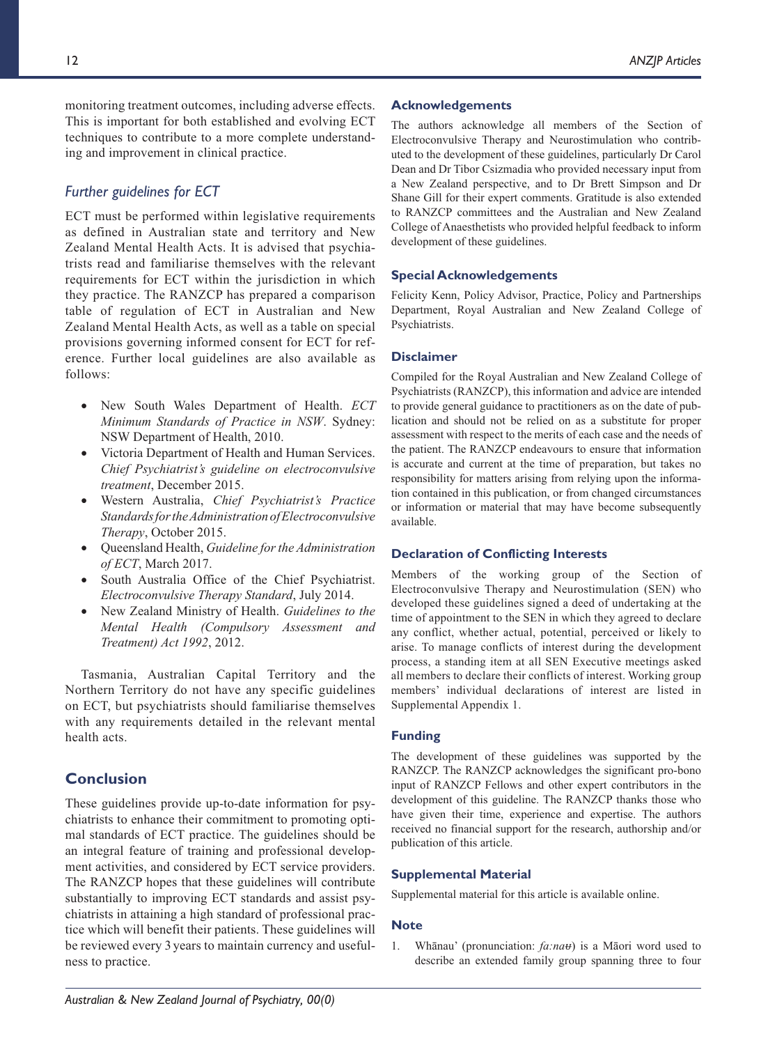monitoring treatment outcomes, including adverse effects. This is important for both established and evolving ECT techniques to contribute to a more complete understanding and improvement in clinical practice.

# *Further guidelines for ECT*

ECT must be performed within legislative requirements as defined in Australian state and territory and New Zealand Mental Health Acts. It is advised that psychiatrists read and familiarise themselves with the relevant requirements for ECT within the jurisdiction in which they practice. The RANZCP has prepared a comparison table of regulation of ECT in Australian and New Zealand Mental Health Acts, as well as a table on special provisions governing informed consent for ECT for reference. Further local guidelines are also available as follows:

- New South Wales Department of Health. *ECT Minimum Standards of Practice in NSW*. Sydney: NSW Department of Health, 2010.
- Victoria Department of Health and Human Services. *Chief Psychiatrist's guideline on electroconvulsive treatment*, December 2015.
- Western Australia, *Chief Psychiatrist's Practice Standards for the Administration of Electroconvulsive Therapy*, October 2015.
- Queensland Health, *Guideline for the Administration of ECT*, March 2017.
- South Australia Office of the Chief Psychiatrist. *Electroconvulsive Therapy Standard*, July 2014.
- New Zealand Ministry of Health. *Guidelines to the Mental Health (Compulsory Assessment and Treatment) Act 1992*, 2012.

Tasmania, Australian Capital Territory and the Northern Territory do not have any specific guidelines on ECT, but psychiatrists should familiarise themselves with any requirements detailed in the relevant mental health acts.

# **Conclusion**

These guidelines provide up-to-date information for psychiatrists to enhance their commitment to promoting optimal standards of ECT practice. The guidelines should be an integral feature of training and professional development activities, and considered by ECT service providers. The RANZCP hopes that these guidelines will contribute substantially to improving ECT standards and assist psychiatrists in attaining a high standard of professional practice which will benefit their patients. These guidelines will be reviewed every 3 years to maintain currency and usefulness to practice.

## **Acknowledgements**

The authors acknowledge all members of the Section of Electroconvulsive Therapy and Neurostimulation who contributed to the development of these guidelines, particularly Dr Carol Dean and Dr Tibor Csizmadia who provided necessary input from a New Zealand perspective, and to Dr Brett Simpson and Dr Shane Gill for their expert comments. Gratitude is also extended to RANZCP committees and the Australian and New Zealand College of Anaesthetists who provided helpful feedback to inform development of these guidelines.

## **Special Acknowledgements**

Felicity Kenn, Policy Advisor, Practice, Policy and Partnerships Department, Royal Australian and New Zealand College of Psychiatrists.

## **Disclaimer**

Compiled for the Royal Australian and New Zealand College of Psychiatrists (RANZCP), this information and advice are intended to provide general guidance to practitioners as on the date of publication and should not be relied on as a substitute for proper assessment with respect to the merits of each case and the needs of the patient. The RANZCP endeavours to ensure that information is accurate and current at the time of preparation, but takes no responsibility for matters arising from relying upon the information contained in this publication, or from changed circumstances or information or material that may have become subsequently available.

## **Declaration of Conflicting Interests**

Members of the working group of the Section of Electroconvulsive Therapy and Neurostimulation (SEN) who developed these guidelines signed a deed of undertaking at the time of appointment to the SEN in which they agreed to declare any conflict, whether actual, potential, perceived or likely to arise. To manage conflicts of interest during the development process, a standing item at all SEN Executive meetings asked all members to declare their conflicts of interest. Working group members' individual declarations of interest are listed in Supplemental Appendix 1.

## **Funding**

The development of these guidelines was supported by the RANZCP. The RANZCP acknowledges the significant pro-bono input of RANZCP Fellows and other expert contributors in the development of this guideline. The RANZCP thanks those who have given their time, experience and expertise. The authors received no financial support for the research, authorship and/or publication of this article.

## **Supplemental Material**

Supplemental material for this article is available online.

#### **Note**

1. Whānau' (pronunciation: *fa:na*<sup> $\theta$ </sup>) is a Māori word used to describe an extended family group spanning three to four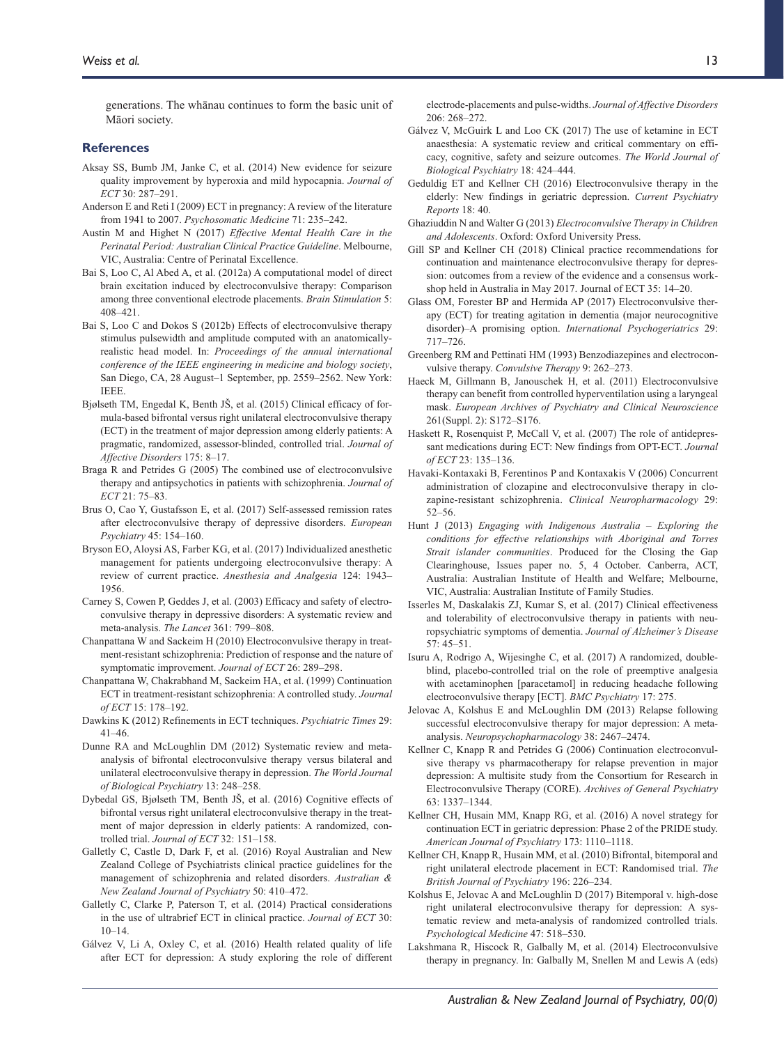generations. The whānau continues to form the basic unit of Māori society.

#### **References**

- Aksay SS, Bumb JM, Janke C, et al. (2014) New evidence for seizure quality improvement by hyperoxia and mild hypocapnia. *Journal of ECT* 30: 287–291.
- Anderson E and Reti I (2009) ECT in pregnancy: A review of the literature from 1941 to 2007. *Psychosomatic Medicine* 71: 235–242.
- Austin M and Highet N (2017) *Effective Mental Health Care in the Perinatal Period: Australian Clinical Practice Guideline*. Melbourne, VIC, Australia: Centre of Perinatal Excellence.
- Bai S, Loo C, Al Abed A, et al. (2012a) A computational model of direct brain excitation induced by electroconvulsive therapy: Comparison among three conventional electrode placements. *Brain Stimulation* 5: 408–421.
- Bai S, Loo C and Dokos S (2012b) Effects of electroconvulsive therapy stimulus pulsewidth and amplitude computed with an anatomicallyrealistic head model. In: *Proceedings of the annual international conference of the IEEE engineering in medicine and biology society*, San Diego, CA, 28 August–1 September, pp. 2559–2562. New York: IEEE.
- Bjølseth TM, Engedal K, Benth JŠ, et al. (2015) Clinical efficacy of formula-based bifrontal versus right unilateral electroconvulsive therapy (ECT) in the treatment of major depression among elderly patients: A pragmatic, randomized, assessor-blinded, controlled trial. *Journal of Affective Disorders* 175: 8–17.
- Braga R and Petrides G (2005) The combined use of electroconvulsive therapy and antipsychotics in patients with schizophrenia. *Journal of ECT* 21: 75–83.
- Brus O, Cao Y, Gustafsson E, et al. (2017) Self-assessed remission rates after electroconvulsive therapy of depressive disorders. *European Psychiatry* 45: 154–160.
- Bryson EO, Aloysi AS, Farber KG, et al. (2017) Individualized anesthetic management for patients undergoing electroconvulsive therapy: A review of current practice. *Anesthesia and Analgesia* 124: 1943– 1956.
- Carney S, Cowen P, Geddes J, et al. (2003) Efficacy and safety of electroconvulsive therapy in depressive disorders: A systematic review and meta-analysis. *The Lancet* 361: 799–808.
- Chanpattana W and Sackeim H (2010) Electroconvulsive therapy in treatment-resistant schizophrenia: Prediction of response and the nature of symptomatic improvement. *Journal of ECT* 26: 289–298.
- Chanpattana W, Chakrabhand M, Sackeim HA, et al. (1999) Continuation ECT in treatment-resistant schizophrenia: A controlled study. *Journal of ECT* 15: 178–192.
- Dawkins K (2012) Refinements in ECT techniques. *Psychiatric Times* 29: 41–46.
- Dunne RA and McLoughlin DM (2012) Systematic review and metaanalysis of bifrontal electroconvulsive therapy versus bilateral and unilateral electroconvulsive therapy in depression. *The World Journal of Biological Psychiatry* 13: 248–258.
- Dybedal GS, Bjølseth TM, Benth JŠ, et al. (2016) Cognitive effects of bifrontal versus right unilateral electroconvulsive therapy in the treatment of major depression in elderly patients: A randomized, controlled trial. *Journal of ECT* 32: 151–158.
- Galletly C, Castle D, Dark F, et al. (2016) Royal Australian and New Zealand College of Psychiatrists clinical practice guidelines for the management of schizophrenia and related disorders. *Australian & New Zealand Journal of Psychiatry* 50: 410–472.
- Galletly C, Clarke P, Paterson T, et al. (2014) Practical considerations in the use of ultrabrief ECT in clinical practice. *Journal of ECT* 30: 10–14.
- Gálvez V, Li A, Oxley C, et al. (2016) Health related quality of life after ECT for depression: A study exploring the role of different

electrode-placements and pulse-widths. *Journal of Affective Disorders* 206: 268–272.

- Gálvez V, McGuirk L and Loo CK (2017) The use of ketamine in ECT anaesthesia: A systematic review and critical commentary on efficacy, cognitive, safety and seizure outcomes. *The World Journal of Biological Psychiatry* 18: 424–444.
- Geduldig ET and Kellner CH (2016) Electroconvulsive therapy in the elderly: New findings in geriatric depression. *Current Psychiatry Reports* 18: 40.
- Ghaziuddin N and Walter G (2013) *Electroconvulsive Therapy in Children and Adolescents*. Oxford: Oxford University Press.
- Gill SP and Kellner CH (2018) Clinical practice recommendations for continuation and maintenance electroconvulsive therapy for depression: outcomes from a review of the evidence and a consensus workshop held in Australia in May 2017. Journal of ECT 35: 14–20.
- Glass OM, Forester BP and Hermida AP (2017) Electroconvulsive therapy (ECT) for treating agitation in dementia (major neurocognitive disorder)–A promising option. *International Psychogeriatrics* 29: 717–726.
- Greenberg RM and Pettinati HM (1993) Benzodiazepines and electroconvulsive therapy. *Convulsive Therapy* 9: 262–273.
- Haeck M, Gillmann B, Janouschek H, et al. (2011) Electroconvulsive therapy can benefit from controlled hyperventilation using a laryngeal mask. *European Archives of Psychiatry and Clinical Neuroscience* 261(Suppl. 2): S172–S176.
- Haskett R, Rosenquist P, McCall V, et al. (2007) The role of antidepressant medications during ECT: New findings from OPT-ECT. *Journal of ECT* 23: 135–136.
- Havaki-Kontaxaki B, Ferentinos P and Kontaxakis V (2006) Concurrent administration of clozapine and electroconvulsive therapy in clozapine-resistant schizophrenia. *Clinical Neuropharmacology* 29: 52–56.
- Hunt J (2013) *Engaging with Indigenous Australia Exploring the conditions for effective relationships with Aboriginal and Torres Strait islander communities*. Produced for the Closing the Gap Clearinghouse, Issues paper no. 5, 4 October. Canberra, ACT, Australia: Australian Institute of Health and Welfare; Melbourne, VIC, Australia: Australian Institute of Family Studies.
- Isserles M, Daskalakis ZJ, Kumar S, et al. (2017) Clinical effectiveness and tolerability of electroconvulsive therapy in patients with neuropsychiatric symptoms of dementia. *Journal of Alzheimer's Disease* 57: 45–51.
- Isuru A, Rodrigo A, Wijesinghe C, et al. (2017) A randomized, doubleblind, placebo-controlled trial on the role of preemptive analgesia with acetaminophen [paracetamol] in reducing headache following electroconvulsive therapy [ECT]. *BMC Psychiatry* 17: 275.
- Jelovac A, Kolshus E and McLoughlin DM (2013) Relapse following successful electroconvulsive therapy for major depression: A metaanalysis. *Neuropsychopharmacology* 38: 2467–2474.
- Kellner C, Knapp R and Petrides G (2006) Continuation electroconvulsive therapy vs pharmacotherapy for relapse prevention in major depression: A multisite study from the Consortium for Research in Electroconvulsive Therapy (CORE). *Archives of General Psychiatry* 63: 1337–1344.
- Kellner CH, Husain MM, Knapp RG, et al. (2016) A novel strategy for continuation ECT in geriatric depression: Phase 2 of the PRIDE study. *American Journal of Psychiatry* 173: 1110–1118.
- Kellner CH, Knapp R, Husain MM, et al. (2010) Bifrontal, bitemporal and right unilateral electrode placement in ECT: Randomised trial. *The British Journal of Psychiatry* 196: 226–234.
- Kolshus E, Jelovac A and McLoughlin D (2017) Bitemporal v. high-dose right unilateral electroconvulsive therapy for depression: A systematic review and meta-analysis of randomized controlled trials. *Psychological Medicine* 47: 518–530.
- Lakshmana R, Hiscock R, Galbally M, et al. (2014) Electroconvulsive therapy in pregnancy. In: Galbally M, Snellen M and Lewis A (eds)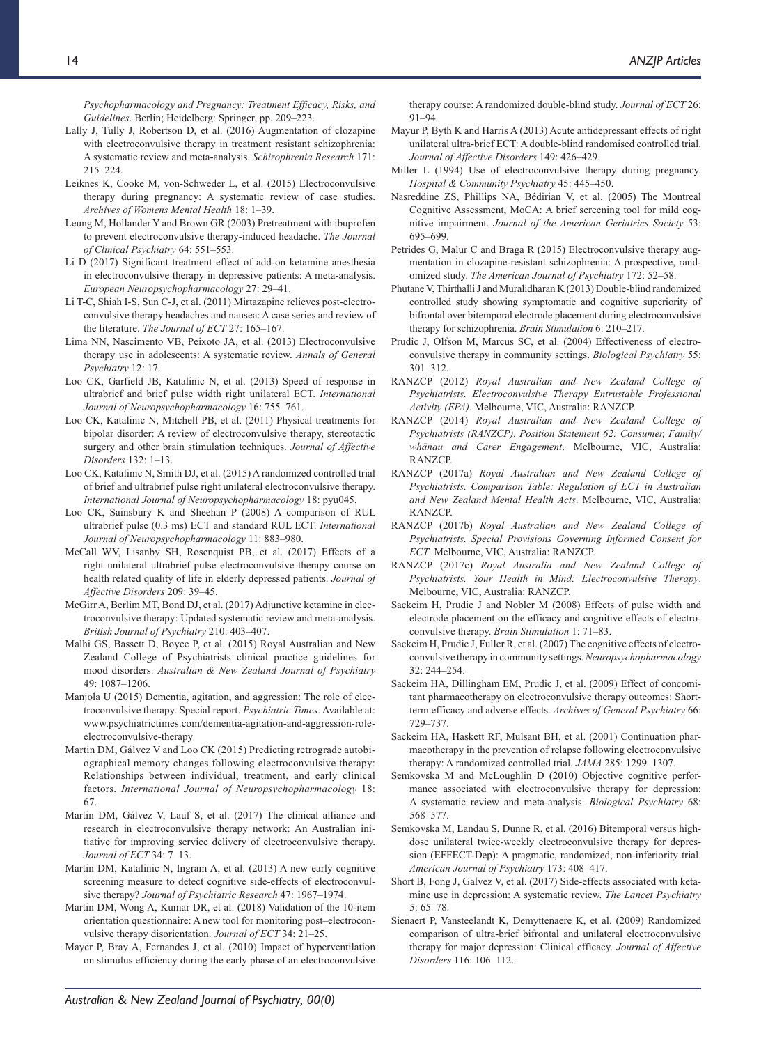*Psychopharmacology and Pregnancy: Treatment Efficacy, Risks, and Guidelines*. Berlin; Heidelberg: Springer, pp. 209–223.

- Lally J, Tully J, Robertson D, et al. (2016) Augmentation of clozapine with electroconvulsive therapy in treatment resistant schizophrenia: A systematic review and meta-analysis. *Schizophrenia Research* 171: 215–224.
- Leiknes K, Cooke M, von-Schweder L, et al. (2015) Electroconvulsive therapy during pregnancy: A systematic review of case studies. *Archives of Womens Mental Health* 18: 1–39.
- Leung M, Hollander Y and Brown GR (2003) Pretreatment with ibuprofen to prevent electroconvulsive therapy-induced headache. *The Journal of Clinical Psychiatry* 64: 551–553.
- Li D (2017) Significant treatment effect of add-on ketamine anesthesia in electroconvulsive therapy in depressive patients: A meta-analysis. *European Neuropsychopharmacology* 27: 29–41.
- Li T-C, Shiah I-S, Sun C-J, et al. (2011) Mirtazapine relieves post-electroconvulsive therapy headaches and nausea: A case series and review of the literature. *The Journal of ECT* 27: 165–167.
- Lima NN, Nascimento VB, Peixoto JA, et al. (2013) Electroconvulsive therapy use in adolescents: A systematic review. *Annals of General Psychiatry* 12: 17.
- Loo CK, Garfield JB, Katalinic N, et al. (2013) Speed of response in ultrabrief and brief pulse width right unilateral ECT. *International Journal of Neuropsychopharmacology* 16: 755–761.
- Loo CK, Katalinic N, Mitchell PB, et al. (2011) Physical treatments for bipolar disorder: A review of electroconvulsive therapy, stereotactic surgery and other brain stimulation techniques. *Journal of Affective Disorders* 132: 1–13.
- Loo CK, Katalinic N, Smith DJ, et al. (2015) A randomized controlled trial of brief and ultrabrief pulse right unilateral electroconvulsive therapy. *International Journal of Neuropsychopharmacology* 18: pyu045.
- Loo CK, Sainsbury K and Sheehan P (2008) A comparison of RUL ultrabrief pulse (0.3 ms) ECT and standard RUL ECT. *International Journal of Neuropsychopharmacology* 11: 883–980.
- McCall WV, Lisanby SH, Rosenquist PB, et al. (2017) Effects of a right unilateral ultrabrief pulse electroconvulsive therapy course on health related quality of life in elderly depressed patients. *Journal of Affective Disorders* 209: 39–45.
- McGirr A, Berlim MT, Bond DJ, et al. (2017) Adjunctive ketamine in electroconvulsive therapy: Updated systematic review and meta-analysis. *British Journal of Psychiatry* 210: 403–407.
- Malhi GS, Bassett D, Boyce P, et al. (2015) Royal Australian and New Zealand College of Psychiatrists clinical practice guidelines for mood disorders. *Australian & New Zealand Journal of Psychiatry* 49: 1087–1206.
- Manjola U (2015) Dementia, agitation, and aggression: The role of electroconvulsive therapy. Special report. *Psychiatric Times*. Available at: [www.psychiatrictimes.com/dementia-agitation-and-aggression-role](www.psychiatrictimes.com/dementia-agitation-and-aggression-role-electroconvulsive-therapy)[electroconvulsive-therapy](www.psychiatrictimes.com/dementia-agitation-and-aggression-role-electroconvulsive-therapy)
- Martin DM, Gálvez V and Loo CK (2015) Predicting retrograde autobiographical memory changes following electroconvulsive therapy: Relationships between individual, treatment, and early clinical factors. *International Journal of Neuropsychopharmacology* 18: 67.
- Martin DM, Gálvez V, Lauf S, et al. (2017) The clinical alliance and research in electroconvulsive therapy network: An Australian initiative for improving service delivery of electroconvulsive therapy. *Journal of ECT* 34: 7–13.
- Martin DM, Katalinic N, Ingram A, et al. (2013) A new early cognitive screening measure to detect cognitive side-effects of electroconvulsive therapy? *Journal of Psychiatric Research* 47: 1967–1974.
- Martin DM, Wong A, Kumar DR, et al. (2018) Validation of the 10-item orientation questionnaire: A new tool for monitoring post–electroconvulsive therapy disorientation. *Journal of ECT* 34: 21–25.
- Mayer P, Bray A, Fernandes J, et al. (2010) Impact of hyperventilation on stimulus efficiency during the early phase of an electroconvulsive

therapy course: A randomized double-blind study. *Journal of ECT* 26: 91–94.

- Mayur P, Byth K and Harris A (2013) Acute antidepressant effects of right unilateral ultra-brief ECT: A double-blind randomised controlled trial. *Journal of Affective Disorders* 149: 426–429.
- Miller L (1994) Use of electroconvulsive therapy during pregnancy. *Hospital & Community Psychiatry* 45: 445–450.
- Nasreddine ZS, Phillips NA, Bédirian V, et al. (2005) The Montreal Cognitive Assessment, MoCA: A brief screening tool for mild cognitive impairment. *Journal of the American Geriatrics Society* 53: 695–699.
- Petrides G, Malur C and Braga R (2015) Electroconvulsive therapy augmentation in clozapine-resistant schizophrenia: A prospective, randomized study. *The American Journal of Psychiatry* 172: 52–58.
- Phutane V, Thirthalli J and Muralidharan K (2013) Double-blind randomized controlled study showing symptomatic and cognitive superiority of bifrontal over bitemporal electrode placement during electroconvulsive therapy for schizophrenia. *Brain Stimulation* 6: 210–217.
- Prudic J, Olfson M, Marcus SC, et al. (2004) Effectiveness of electroconvulsive therapy in community settings. *Biological Psychiatry* 55: 301–312.
- RANZCP (2012) *Royal Australian and New Zealand College of Psychiatrists. Electroconvulsive Therapy Entrustable Professional Activity (EPA)*. Melbourne, VIC, Australia: RANZCP.
- RANZCP (2014) *Royal Australian and New Zealand College of Psychiatrists (RANZCP). Position Statement 62: Consumer, Family/ whānau and Carer Engagement*. Melbourne, VIC, Australia: RANZCP.
- RANZCP (2017a) *Royal Australian and New Zealand College of Psychiatrists. Comparison Table: Regulation of ECT in Australian and New Zealand Mental Health Acts*. Melbourne, VIC, Australia: RANZCP.
- RANZCP (2017b) *Royal Australian and New Zealand College of Psychiatrists. Special Provisions Governing Informed Consent for ECT*. Melbourne, VIC, Australia: RANZCP.
- RANZCP (2017c) *Royal Australia and New Zealand College of Psychiatrists. Your Health in Mind: Electroconvulsive Therapy*. Melbourne, VIC, Australia: RANZCP.
- Sackeim H, Prudic J and Nobler M (2008) Effects of pulse width and electrode placement on the efficacy and cognitive effects of electroconvulsive therapy. *Brain Stimulation* 1: 71–83.
- Sackeim H, Prudic J, Fuller R, et al. (2007) The cognitive effects of electroconvulsive therapy in community settings. *Neuropsychopharmacology* 32: 244–254.
- Sackeim HA, Dillingham EM, Prudic J, et al. (2009) Effect of concomitant pharmacotherapy on electroconvulsive therapy outcomes: Shortterm efficacy and adverse effects. *Archives of General Psychiatry* 66: 729–737.
- Sackeim HA, Haskett RF, Mulsant BH, et al. (2001) Continuation pharmacotherapy in the prevention of relapse following electroconvulsive therapy: A randomized controlled trial. *JAMA* 285: 1299–1307.
- Semkovska M and McLoughlin D (2010) Objective cognitive performance associated with electroconvulsive therapy for depression: A systematic review and meta-analysis. *Biological Psychiatry* 68: 568–577.
- Semkovska M, Landau S, Dunne R, et al. (2016) Bitemporal versus highdose unilateral twice-weekly electroconvulsive therapy for depression (EFFECT-Dep): A pragmatic, randomized, non-inferiority trial. *American Journal of Psychiatry* 173: 408–417.
- Short B, Fong J, Galvez V, et al. (2017) Side-effects associated with ketamine use in depression: A systematic review. *The Lancet Psychiatry* 5: 65–78.
- Sienaert P, Vansteelandt K, Demyttenaere K, et al. (2009) Randomized comparison of ultra-brief bifrontal and unilateral electroconvulsive therapy for major depression: Clinical efficacy. *Journal of Affective Disorders* 116: 106–112.